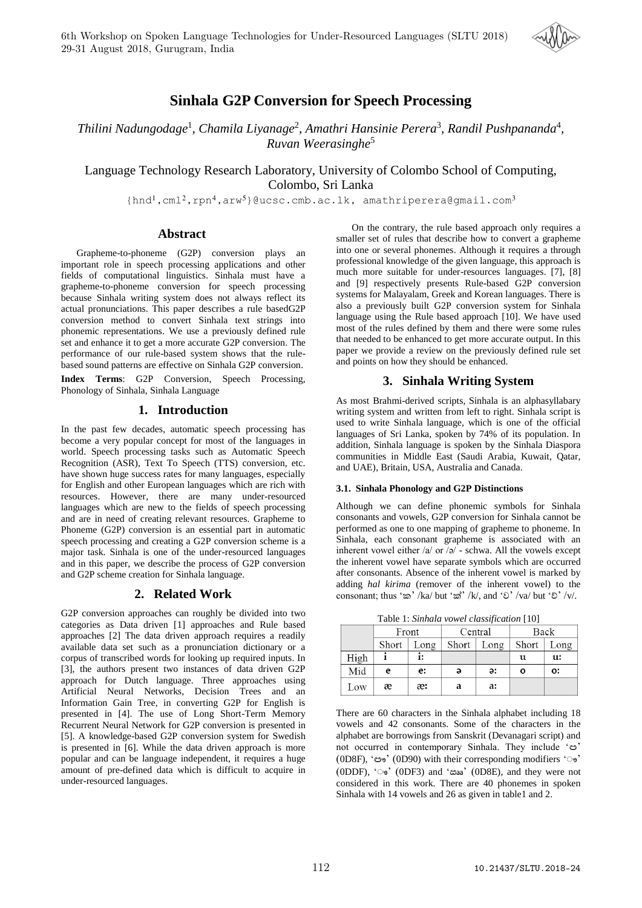

# **Sinhala G2P Conversion for Speech Processing**

Thilini Nadungodage<sup>1</sup>, Chamila Liyanage<sup>2</sup>, Amathri Hansinie Perera<sup>3</sup>, Randil Pushpananda<sup>4</sup>, *Ruvan Weerasinghe*<sup>5</sup>

Language Technology Research Laboratory, University of Colombo School of Computing, Colombo, Sri Lanka

{hnd<sup>1</sup>,cml<sup>2</sup>,rpn<sup>4</sup>,arw<sup>5</sup>}@ucsc.cmb.ac.lk, amathriperera@gmail.com<sup>3</sup>

# **Abstract**

Grapheme-to-phoneme (G2P) conversion plays an important role in speech processing applications and other fields of computational linguistics. Sinhala must have a grapheme-to-phoneme conversion for speech processing because Sinhala writing system does not always reflect its actual pronunciations. This paper describes a rule basedG2P conversion method to convert Sinhala text strings into phonemic representations. We use a previously defined rule set and enhance it to get a more accurate G2P conversion. The performance of our rule-based system shows that the rulebased sound patterns are effective on Sinhala G2P conversion.

**Index Terms**: G2P Conversion, Speech Processing, Phonology of Sinhala, Sinhala Language

# **1. Introduction**

In the past few decades, automatic speech processing has become a very popular concept for most of the languages in world. Speech processing tasks such as Automatic Speech Recognition (ASR), Text To Speech (TTS) conversion, etc. have shown huge success rates for many languages, especially for English and other European languages which are rich with resources. However, there are many under-resourced languages which are new to the fields of speech processing and are in need of creating relevant resources. Grapheme to Phoneme (G2P) conversion is an essential part in automatic speech processing and creating a G2P conversion scheme is a major task. Sinhala is one of the under-resourced languages and in this paper, we describe the process of G2P conversion and G2P scheme creation for Sinhala language.

# **2. Related Work**

G2P conversion approaches can roughly be divided into two categories as Data driven [1] approaches and Rule based approaches [2] The data driven approach requires a readily available data set such as a pronunciation dictionary or a corpus of transcribed words for looking up required inputs. In [3], the authors present two instances of data driven G2P approach for Dutch language. Three approaches using Artificial Neural Networks, Decision Trees and an Information Gain Tree, in converting G2P for English is presented in [4]. The use of Long Short-Term Memory Recurrent Neural Network for G2P conversion is presented in [5]. A knowledge-based G2P conversion system for Swedish is presented in [6]. While the data driven approach is more popular and can be language independent, it requires a huge amount of pre-defined data which is difficult to acquire in under-resourced languages.

On the contrary, the rule based approach only requires a smaller set of rules that describe how to convert a grapheme into one or several phonemes. Although it requires a through professional knowledge of the given language, this approach is much more suitable for under-resources languages. [7], [8] and [9] respectively presents Rule-based G2P conversion systems for Malayalam, Greek and Korean languages. There is also a previously built G2P conversion system for Sinhala language using the Rule based approach [10]. We have used most of the rules defined by them and there were some rules that needed to be enhanced to get more accurate output. In this paper we provide a review on the previously defined rule set and points on how they should be enhanced.

# **3. Sinhala Writing System**

As most Brahmi-derived scripts, Sinhala is an alphasyllabary writing system and written from left to right. Sinhala script is used to write Sinhala language, which is one of the official languages of Sri Lanka, spoken by 74% of its population. In addition, Sinhala language is spoken by the Sinhala Diaspora communities in Middle East (Saudi Arabia, Kuwait, Qatar, and UAE), Britain, USA, Australia and Canada.

## **3.1. Sinhala Phonology and G2P Distinctions**

Although we can define phonemic symbols for Sinhala consonants and vowels, G2P conversion for Sinhala cannot be performed as one to one mapping of grapheme to phoneme. In Sinhala, each consonant grapheme is associated with an inherent vowel either /a/ or /ə/ - schwa. All the vowels except the inherent vowel have separate symbols which are occurred after consonants. Absence of the inherent vowel is marked by adding *hal kirima* (remover of the inherent vowel) to the consonant; thus 'ක' /ka/ but 'ක්' /k/, and 'ච' /va/ but 'චි' /v/.

Table 1: *Sinhala vowel classification* [10]

|      | Front |      | Central |      | Back  |      |
|------|-------|------|---------|------|-------|------|
|      | Short | Long | Short   | Long | Short | Long |
| High |       | i:   |         |      | u     | u:   |
| Mid  | e     | e:   | ə       | ə:   | O     | о:   |
| Low  | æ     | æ:   | a       | a:   |       |      |

There are 60 characters in the Sinhala alphabet including 18 vowels and 42 consonants. Some of the characters in the alphabet are borrowings from Sanskrit (Devanagari script) and not occurred in contemporary Sinhala. They include 'ඏ' (0D8F), 'ඐ' (0D90) with their corresponding modifiers 'ෟ' (0DDF), 'ෟ ' (0DF3) and 'ඎ' (0D8E), and they were not considered in this work. There are 40 phonemes in spoken Sinhala with 14 vowels and 26 as given in table1 and 2.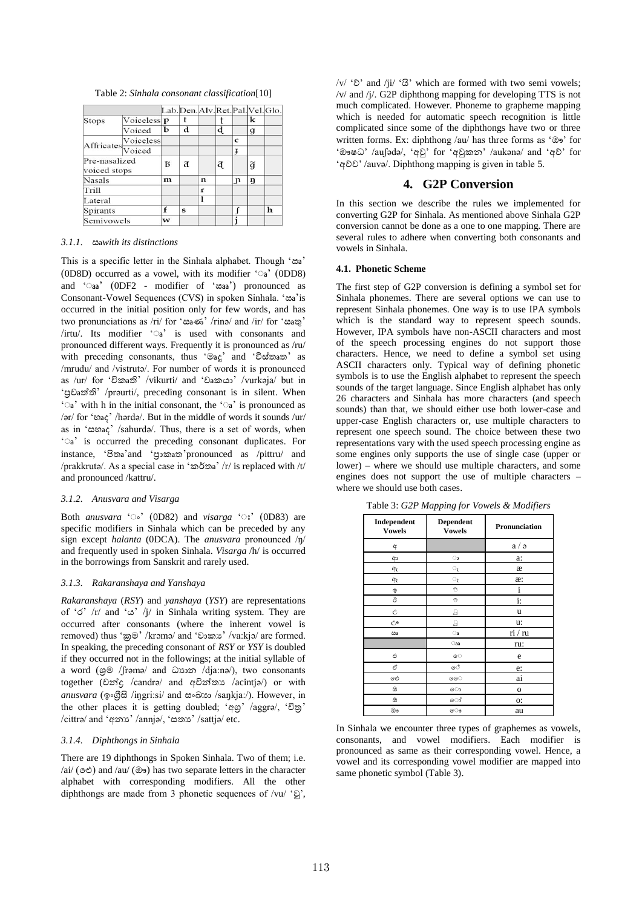Table 2: *Sinhala consonant classification*[10]

|                               |             |   | Lab. Den. Alv. Ret. Pal. Vel. Glo. |             |   |              |                 |   |
|-------------------------------|-------------|---|------------------------------------|-------------|---|--------------|-----------------|---|
| Stops                         | Voiceless p |   | t                                  |             |   |              | k               |   |
|                               | Voiced      | ь | d                                  |             | d |              | g               |   |
| Affricates Voiceless          |             |   |                                    |             |   | C            |                 |   |
|                               |             |   |                                    |             |   | Ŧ            |                 |   |
| Pre-nasalized<br>voiced stops |             | Б | a                                  |             | ą |              | $\widetilde{g}$ |   |
| <b>Nasals</b>                 |             | m |                                    | $\mathbf n$ |   | $\mathbf{n}$ | ŋ               |   |
| <b>Trill</b>                  |             |   |                                    | r           |   |              |                 |   |
| Lateral                       |             |   |                                    |             |   |              |                 |   |
| Spirants                      |             | f | s                                  |             |   |              |                 | h |
| Semivowels                    |             | w |                                    |             |   |              |                 |   |

## *3.1.1.* ඍ*with its distinctions*

This is a specific letter in the Sinhala alphabet. Though 'ඍ' (0D8D) occurred as a vowel, with its modifier 'a' (0DD8) and 'aa' (0DF2 - modifier of 'æaa') pronounced as Consonant-Vowel Sequences (CVS) in spoken Sinhala. 'ඍ'is occurred in the initial position only for few words, and has two pronunciations as /ri/ for 'ඍණ' /rinə/ and /ir/ for 'ඍතු' /irtu/. Its modifier 'a' is used with consonants and pronounced different ways. Frequently it is pronounced as /ru/ with preceding consonants, thus 'මෘදු' and 'විස්තෘත' as /mrudu/ and /vistrutə/. For number of words it is pronounced as /ur/ for 'විකෘති' /vikurti/ and 'වෘකයා' /vurkaja/ but in 'ප්රව ත්තති' /prəurti/, preceding consonant is in silent. When ' $\circ$ a' with h in the initial consonant, the 'a' is pronounced as /ər/ for 'හෘද' /hərdə/. But in the middle of words it sounds /ur/ as in 'සහ ද' /sahurdə/. Thus, there is a set of words, when 'a' is occurred the preceding consonant duplicates. For instance, 'පිතෘ'and 'පුාකෘත'pronounced as /pittru/ and /prakkrutə/. As a special case in 'කර්තෘ' /r/ is replaced with /t/ and pronounced /kattru/.

#### *3.1.2. Anusvara and Visarga*

Both *anusvara* '•' (0D82) and *visarga* '•' (0D83) are specific modifiers in Sinhala which can be preceded by any sign except *halanta* (0DCA). The *anusvara* pronounced /ŋ/ and frequently used in spoken Sinhala. *Visarga* /h/ is occurred in the borrowings from Sanskrit and rarely used.

#### *3.1.3. Rakaranshaya and Yanshaya*

*Rakaranshaya* (*RSY*) and *yanshaya* (*YSY*) are representations of ' $\sigma'$  /r/ and ' $\sigma'$  /j/ in Sinhala writing system. They are occurred after consonants (where the inherent vowel is removed) thus 'ක්රම' /krəmə/ and 'වාකය' /va:kjə/ are formed. In speaking, the preceding consonant of *RSY* or *YSY* is doubled if they occurred not in the followings; at the initial syllable of a word (ශ්රම /ʃrəmə/ and ධ්යාන /dja:nə/), two consonants together (චන්ද්ර /candrə/ and අචින්ද්තය /acintjə/) or with *anusvara* (ඉංගීසි /iŋgri:si/ and සංඛාභ /saŋkja:/). However, in the other places it is getting doubled; 'අගු' /aggra/, 'චිතු' /cittrə/ and 'අනය' /annjə/, 'සතය' /sattjə/ etc.

#### *3.1.4. Diphthongs in Sinhala*

There are 19 diphthongs in Spoken Sinhala. Two of them; i.e.  $\alpha$ i/ ( $\circ$  $\circ$ ) and  $\alpha$ u/ ( $\circ$  $\circ$ ) has two separate letters in the character alphabet with corresponding modifiers. All the other diphthongs are made from 3 phonetic sequences of /vu/ 'වු',

/v/ 'ව්' and /ji/ 'යි' which are formed with two semi vowels; /v/ and /j/. G2P diphthong mapping for developing TTS is not much complicated. However. Phoneme to grapheme mapping which is needed for automatic speech recognition is little complicated since some of the diphthongs have two or three written forms. Ex: diphthong /au/ has three forms as 'ඖ' for 'ඖෂධ්' /auʃədə/, 'අවු' for 'අවුකන' /aukənə/ and 'අව්' for 'අව්ව' /auvə/. Diphthong mapping is given in table 5.

## **4. G2P Conversion**

In this section we describe the rules we implemented for converting G2P for Sinhala. As mentioned above Sinhala G2P conversion cannot be done as a one to one mapping. There are several rules to adhere when converting both consonants and vowels in Sinhala.

#### **4.1. Phonetic Scheme**

The first step of G2P conversion is defining a symbol set for Sinhala phonemes. There are several options we can use to represent Sinhala phonemes. One way is to use IPA symbols which is the standard way to represent speech sounds. However, IPA symbols have non-ASCII characters and most of the speech processing engines do not support those characters. Hence, we need to define a symbol set using ASCII characters only. Typical way of defining phonetic symbols is to use the English alphabet to represent the speech sounds of the target language. Since English alphabet has only 26 characters and Sinhala has more characters (and speech sounds) than that, we should either use both lower-case and upper-case English characters or, use multiple characters to represent one speech sound. The choice between these two representations vary with the used speech processing engine as some engines only supports the use of single case (upper or lower) – where we should use multiple characters, and some engines does not support the use of multiple characters – where we should use both cases.

|  |  |  |  |  | Table 3: G2P Mapping for Vowels & Modifiers |
|--|--|--|--|--|---------------------------------------------|
|--|--|--|--|--|---------------------------------------------|

| Independent<br><b>Vowels</b> | <b>Dependent</b><br><b>Vowels</b> | Pronunciation |
|------------------------------|-----------------------------------|---------------|
| අ                            |                                   | a/a           |
| ආ                            | $\circ$                           | a:            |
| ඇ                            | $\mathbb{O}_{\zeta}$              | æ             |
| ඇ                            | $\mathbb{O}_{\mathfrak{F}}$       | æ:            |
| g                            | O                                 | $\mathbf{i}$  |
| ඊ                            | ಿ                                 | $\ddot{i}$ :  |
| Ĉ                            | 9                                 | u             |
| Ĉ۹                           | ្ម                                | u:            |
| ඎ                            | $\bigcirc$ a                      | ri / ru       |
|                              | $\bigcirc$ aa                     | ru:           |
| එ                            | ෙ                                 | e             |
| ඒ                            | ේ                                 | e:            |
| ඓ                            | ෛ                                 | ai            |
| ඔ                            | ො                                 | $\mathbf 0$   |
| ඔ                            | ෝ                                 | о:            |
| ඖ                            | ෞ                                 | au            |

In Sinhala we encounter three types of graphemes as vowels, consonants, and vowel modifiers. Each modifier is pronounced as same as their corresponding vowel. Hence, a vowel and its corresponding vowel modifier are mapped into same phonetic symbol (Table 3).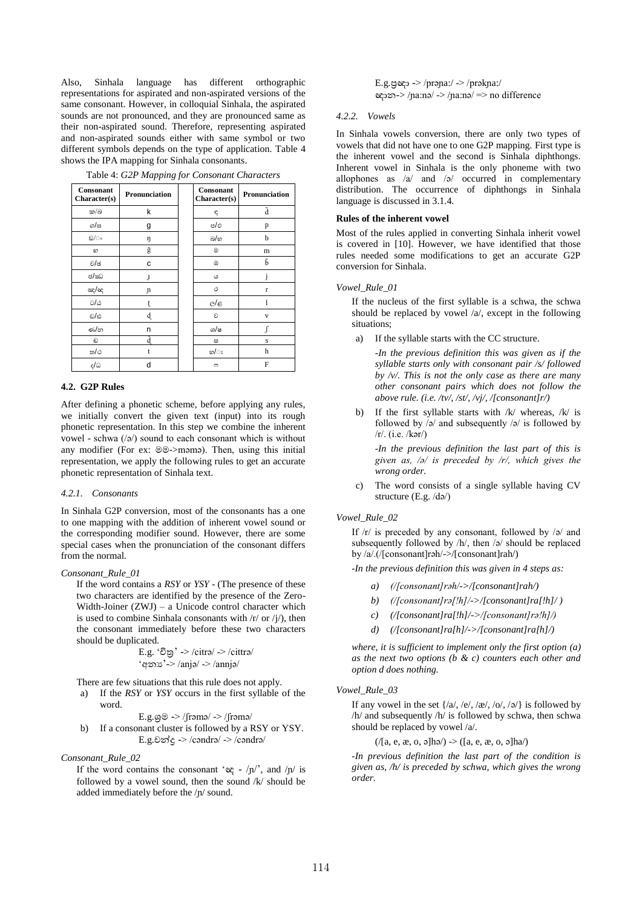Also, Sinhala language has different orthographic representations for aspirated and non-aspirated versions of the same consonant. However, in colloquial Sinhala, the aspirated sounds are not pronounced, and they are pronounced same as their non-aspirated sound. Therefore, representing aspirated and non-aspirated sounds either with same symbol or two different symbols depends on the type of application. Table 4 shows the IPA mapping for Sinhala consonants.

| Consonant<br>Character(s) | Pronunciation  | <b>Consonant</b><br>Character(s) | Pronunciation           |
|---------------------------|----------------|----------------------------------|-------------------------|
| ක/බ                       | k              | ę                                | ã                       |
| ග/ස                       | g              | ප/ඵ                              | p                       |
| ඞ/ം                       | ŋ              | බ/හ                              | b                       |
| හ                         | $\overline{g}$ | ◉                                | m                       |
| ව/ඡ                       | c              | ඔ                                | ĥ                       |
| ජ/ඣ                       | J              | ω                                |                         |
| ඤ/ඥ                       | J1             | ó                                | $\mathbf{r}$            |
| ರ/ು                       | t              | e/e                              |                         |
| ඩ/ඪ                       | d.             | ව                                | $\overline{\mathbf{V}}$ |
| ණ්න                       | n              | ශ/ෂ                              | $\int$                  |
| ඩ                         |                | ස                                | S                       |
| ත/ථ                       | t              | හ/ඃ                              | h                       |
| ද/ධ                       | d              | c                                | F                       |

Table 4: *G2P Mapping for Consonant Characters*

### **4.2. G2P Rules**

After defining a phonetic scheme, before applying any rules, we initially convert the given text (input) into its rough phonetic representation. In this step we combine the inherent vowel - schwa (/ə/) sound to each consonant which is without any modifier (For ex: මම->məmə). Then, using this initial representation, we apply the following rules to get an accurate phonetic representation of Sinhala text.

#### *4.2.1. Consonants*

In Sinhala G2P conversion, most of the consonants has a one to one mapping with the addition of inherent vowel sound or the corresponding modifier sound. However, there are some special cases when the pronunciation of the consonant differs from the normal.

#### *Consonant\_Rule\_01*

If the word contains a *RSY* or *YSY* - (The presence of these two characters are identified by the presence of the Zero-Width-Joiner (ZWJ) – a Unicode control character which is used to combine Sinhala consonants with  $\frac{r}{r}$  or  $\frac{r}{l}$ , then the consonant immediately before these two characters should be duplicated.

$$
E.g. 'êg' -> /citra/ -> /cittra/
$$
  
'qəs' -> /anja/ -> /annja/

There are few situations that this rule does not apply.

a) If the *RSY* or *YSY* occurs in the first syllable of the word.

 $E.g.$ ශූම -> /frəmə/ -> /frəmə/

b) If a consonant cluster is followed by a RSY or YSY. E.g.චන්ද $\rightarrow$  /cəndrə/ -> /cəndrə/

*Consonant\_Rule\_02*

If the word contains the consonant ' $c \rightarrow \pi$ ', and  $/\pi$  is followed by a vowel sound, then the sound  $k$  should be added immediately before the /ɲ/ sound.

E.g.ප්රඥා -> /prəɲa:/ -> /prəkɲa:/ ඥාන-> /ɲa:nə/ -> /ɲa:nə/ => no difference

#### *4.2.2. Vowels*

In Sinhala vowels conversion, there are only two types of vowels that did not have one to one G2P mapping. First type is the inherent vowel and the second is Sinhala diphthongs. Inherent vowel in Sinhala is the only phoneme with two allophones as /a/ and /ə/ occurred in complementary distribution. The occurrence of diphthongs in Sinhala language is discussed in 3.1.4.

## **Rules of the inherent vowel**

Most of the rules applied in converting Sinhala inherit vowel is covered in [10]. However, we have identified that those rules needed some modifications to get an accurate G2P conversion for Sinhala.

## *Vowel\_Rule\_01*

If the nucleus of the first syllable is a schwa, the schwa should be replaced by vowel /a/, except in the following situations;

- a) If the syllable starts with the CC structure.
	- *-In the previous definition this was given as if the syllable starts only with consonant pair /s/ followed by /v/. This is not the only case as there are many other consonant pairs which does not follow the above rule. (i.e. /tv/, /st/, /vj/, /[consonant]r/)*
- b) If the first syllable starts with /k/ whereas, /k/ is followed by  $\sqrt{2}$  and subsequently  $\sqrt{2}$  is followed by  $/r/$ . (i.e.  $/$ kər $/$ )

-*In the previous definition the last part of this is given as, /ə/ is preceded by /r/, which gives the wrong order.*

c) The word consists of a single syllable having CV structure (E.g. /də/)

## *Vowel\_Rule\_02*

If /r/ is preceded by any consonant, followed by /ə/ and subsequently followed by /h/, then /ə/ should be replaced by /a/.(/[consonant]rəh/->/[consonant]rah/)

-*In the previous definition this was given in 4 steps as:*

- *a) (/[consonant]rəh/->/[consonant]rah/)*
- *b) (/[consonant]rə[!h]/->/[consonant]ra[!h]/ )*
- *c) (/[consonant]ra[!h]/->/[consonant]rə!h]/)*
- *d) (/[consonant]ra[h]/->/[consonant]ra[h]/)*

*where, it is sufficient to implement only the first option (a) as the next two options (b & c) counters each other and option d does nothing.*

## *Vowel\_Rule\_03*

If any vowel in the set  $\{\frac{a}{, e\}, \frac{b}{, o\}, \frac{b}{, o\} \}$  is followed by /h/ and subsequently /h/ is followed by schwa, then schwa should be replaced by vowel /a/.

 $(|[a, e, x, o, o]$ hə $| \rightarrow |[a, e, x, o, o]$ ha $|$ 

*-In previous definition the last part of the condition is given as, /h/ is preceded by schwa, which gives the wrong order.*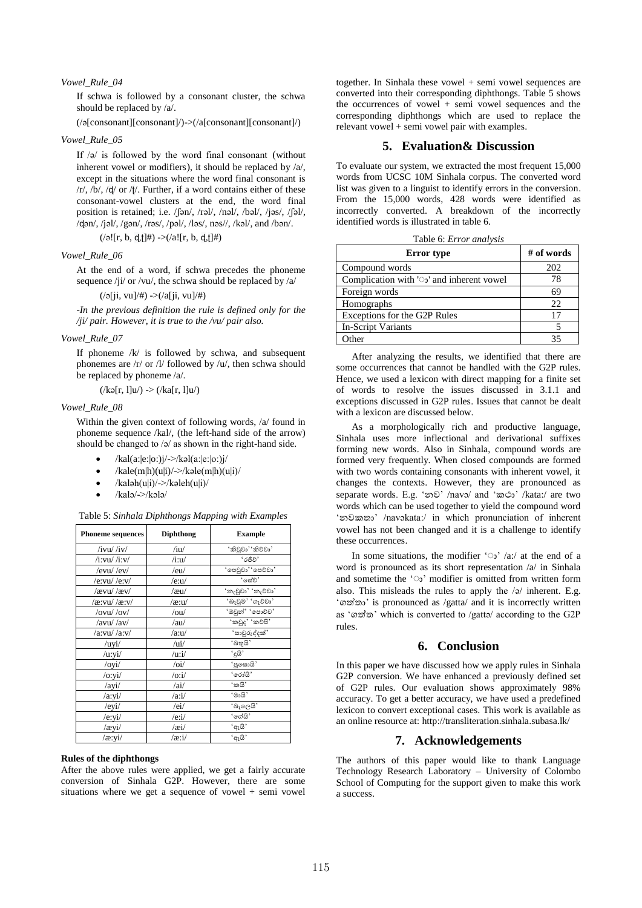## *Vowel\_Rule\_04*

If schwa is followed by a consonant cluster, the schwa should be replaced by /a/.

(/ə[consonant][consonant]/)->(/a[consonant][consonant]/)

## *Vowel\_Rule\_05*

If /ə/ is followed by the word final consonant (without inherent vowel or modifiers), it should be replaced by /a/, except in the situations where the word final consonant is  $/r/$ ,  $/b/$ ,  $/d/$  or  $/t/$ . Further, if a word contains either of these consonant-vowel clusters at the end, the word final position is retained; i.e. /ʃən/, /rəl/, /nəl/, /bəl/, /jəs/, /ʃəl/, /ɖən/, /jəl/, /gən/, /rəs/, /pəl/, /ləs/, nəs//, /kəl/, and /bən/.

 $(|\circ|$ [r, b, d, t]#) -> $(|a|$ [r, b, d, t]#)

#### *Vowel\_Rule\_06*

At the end of a word, if schwa precedes the phoneme sequence /ji/ or /vu/, the schwa should be replaced by /a/

 $(\sqrt{2}j, \text{vu}]/\#$ ) -> $(\sqrt{a}j, \text{vu}]/\#)$ 

*-In the previous definition the rule is defined only for the /ji/ pair. However, it is true to the /vu/ pair also.*

#### *Vowel\_Rule\_07*

If phoneme  $/k/$  is followed by schwa, and subsequent phonemes are /r/ or /l/ followed by /u/, then schwa should be replaced by phoneme /a/.

$$
(\sqrt{k} \mathfrak{s}[r, 1]u') \rightarrow (\sqrt{k}a[r, 1]u')
$$

## *Vowel\_Rule\_08*

Within the given context of following words, /a/ found in phoneme sequence /kal/, (the left-hand side of the arrow) should be changed to /ə/ as shown in the right-hand side.

- /kal(a:|e:|o:)j/->/kəl(a:|e:|o:)j/
- /kale $(m|h)(u|i)/\rightarrow/k$ əle $(m|h)(u|i)/\rightarrow$
- $/kaləh(u|i)$ /->/kəleh $(u|i)$ /
- /kalə/->/kələ/

Table 5: *Sinhala Diphthongs Mapping with Examples*

| <b>Phoneme sequences</b>          | <b>Diphthong</b>         | <b>Example</b>    |
|-----------------------------------|--------------------------|-------------------|
| $/ivu/$ /iv/                      | /iu/                     | 'කිවුවා''කිව්වා'  |
| /i:vu/ /i:v/                      | $/$ i:u $/$              | 'రకిరి'           |
| $/evu/$ /ev/                      | /eu/                     | 'පෙවුවා''පෙව්වා'  |
| /e:vu/ /e:v/                      | /e:u/                    | 'සේව'             |
| /ævu/ /æv/                        | /au/                     | 'ກເຊີຍນ' 'ກເອີຍນ' |
| /æ:vu/ /æ:v/                      | /æ:u/                    | 'බෑවුම' 'ගෑවවා'   |
| $\frac{\partial v}{\partial y}$   | /ou/                     | 'ඔවුන්' 'පොව්ව'   |
| /avu//av/                         | /au/                     | 'කවුද' 'කවපි'     |
| /a:vu//a:v/                       | /axu/                    | 'සාවුරුද්දක්'     |
| /uyi/                             | /ui/                     | 'බතුයි'           |
| $/$ u:yi $/$                      | /uri/                    | 'දූයි'            |
| $\frac{\mathrm{dy}}{\mathrm{dy}}$ | $\overline{\mathrm{o}i}$ | 'පූසොයි'          |
| /o:vi/                            | $/0$ :i $/$              | 'රෝයි'            |
| /ayi/                             | /ai/                     | 'කයි'             |
| /a:yi/                            | /axi/                    | 'මායි'            |
| /eyi/                             | /ei/                     | 'බැලෙයි'          |
| /e:yi/                            | /e:i/                    | 'ගේයි'            |
| /æyi/                             | $/$ æi $/$               | 'ඇයි'             |
| /æ:yi/                            | $\alpha$ :i/             | 'ඇයි'             |

#### **Rules of the diphthongs**

After the above rules were applied, we get a fairly accurate conversion of Sinhala G2P. However, there are some situations where we get a sequence of vowel + semi vowel

together. In Sinhala these vowel + semi vowel sequences are converted into their corresponding diphthongs. Table 5 shows the occurrences of vowel  $+$  semi vowel sequences and the corresponding diphthongs which are used to replace the relevant vowel  $+$  semi vowel pair with examples.

## **5. Evaluation& Discussion**

To evaluate our system, we extracted the most frequent 15,000 words from UCSC 10M Sinhala corpus. The converted word list was given to a linguist to identify errors in the conversion. From the 15,000 words, 428 words were identified as incorrectly converted. A breakdown of the incorrectly identified words is illustrated in table 6.

| Table 6: <i>Error analysis</i> |  |  |  |
|--------------------------------|--|--|--|
|--------------------------------|--|--|--|

| <b>Error</b> type                                | # of words |
|--------------------------------------------------|------------|
| Compound words                                   | 202        |
| Complication with ' $\circ$ ' and inherent vowel | 78         |
| Foreign words                                    | 69         |
| Homographs                                       | 22         |
| Exceptions for the G2P Rules                     | 17         |
| In-Script Variants                               |            |
| $\alpha$ ther                                    |            |

After analyzing the results, we identified that there are some occurrences that cannot be handled with the G2P rules. Hence, we used a lexicon with direct mapping for a finite set of words to resolve the issues discussed in 3.1.1 and exceptions discussed in G2P rules. Issues that cannot be dealt with a lexicon are discussed below.

As a morphologically rich and productive language, Sinhala uses more inflectional and derivational suffixes forming new words. Also in Sinhala, compound words are formed very frequently. When closed compounds are formed with two words containing consonants with inherent vowel, it changes the contexts. However, they are pronounced as separate words. E.g. 'නව' /navə/ and 'කථා' /kata:/ are two words which can be used together to yield the compound word 'නවකතා' /navəkata:/ in which pronunciation of inherent vowel has not been changed and it is a challenge to identify these occurrences.

In some situations, the modifier 'o'  $a$ :/ at the end of a word is pronounced as its short representation  $\alpha$  in Sinhala and sometime the 'ෳ' modifier is omitted from written form also. This misleads the rules to apply the /ə/ inherent. E.g. 'ගත්තතා' is pronounced as /gatta/ and it is incorrectly written as 'ගත්ත' which is converted to /gatta/ according to the G2P rules.

# **6. Conclusion**

In this paper we have discussed how we apply rules in Sinhala G2P conversion. We have enhanced a previously defined set of G2P rules. Our evaluation shows approximately 98% accuracy. To get a better accuracy, we have used a predefined lexicon to convert exceptional cases. This work is available as an online resource at: http://transliteration.sinhala.subasa.lk/

# **7. Acknowledgements**

The authors of this paper would like to thank Language Technology Research Laboratory – University of Colombo School of Computing for the support given to make this work a success.